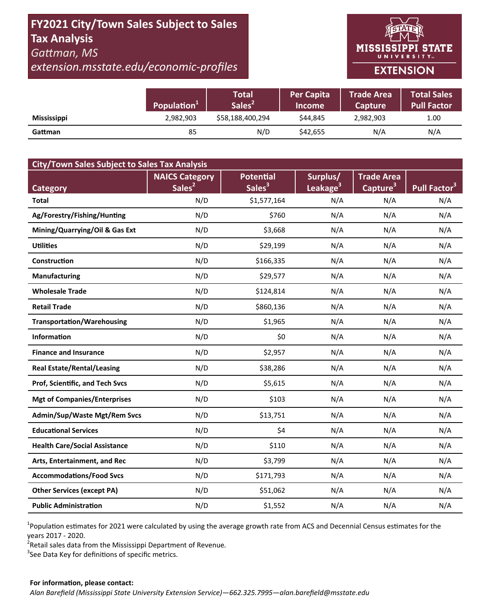# **FY2021 City/Town Sales Subject to Sales Tax Analysis**  *GaƩman, MS*

*extension.msstate.edu/economic‐profiles* 



|                    | Population <sup>1</sup> | Total<br>Sales <sup>2</sup> | <b>Per Capita</b><br><b>Income</b> | <b>Trade Area</b><br><b>Capture</b> | <b>Total Sales</b><br><b>Pull Factor</b> |
|--------------------|-------------------------|-----------------------------|------------------------------------|-------------------------------------|------------------------------------------|
| <b>Mississippi</b> | 2,982,903               | \$58,188,400,294            | \$44.845                           | 2,982,903                           | 1.00                                     |
| Gattman            | 85                      | N/D                         | \$42,655                           | N/A                                 | N/A                                      |

| <b>City/Town Sales Subject to Sales Tax Analysis</b> |                       |                    |                      |                      |                          |  |  |  |  |
|------------------------------------------------------|-----------------------|--------------------|----------------------|----------------------|--------------------------|--|--|--|--|
|                                                      | <b>NAICS Category</b> | <b>Potential</b>   | Surplus/             | <b>Trade Area</b>    |                          |  |  |  |  |
| <b>Category</b>                                      | Sales <sup>2</sup>    | Sales <sup>3</sup> | Leakage <sup>3</sup> | Capture <sup>3</sup> | Pull Factor <sup>3</sup> |  |  |  |  |
| <b>Total</b>                                         | N/D                   | \$1,577,164        | N/A                  | N/A                  | N/A                      |  |  |  |  |
| Ag/Forestry/Fishing/Hunting                          | N/D                   | \$760              | N/A                  | N/A                  | N/A                      |  |  |  |  |
| Mining/Quarrying/Oil & Gas Ext                       | N/D                   | \$3,668            | N/A                  | N/A                  | N/A                      |  |  |  |  |
| <b>Utilities</b>                                     | N/D                   | \$29,199           | N/A                  | N/A                  | N/A                      |  |  |  |  |
| <b>Construction</b>                                  | N/D                   | \$166,335          | N/A                  | N/A                  | N/A                      |  |  |  |  |
| <b>Manufacturing</b>                                 | N/D                   | \$29,577           | N/A                  | N/A                  | N/A                      |  |  |  |  |
| <b>Wholesale Trade</b>                               | N/D                   | \$124,814          | N/A                  | N/A                  | N/A                      |  |  |  |  |
| <b>Retail Trade</b>                                  | N/D                   | \$860,136          | N/A                  | N/A                  | N/A                      |  |  |  |  |
| <b>Transportation/Warehousing</b>                    | N/D                   | \$1,965            | N/A                  | N/A                  | N/A                      |  |  |  |  |
| <b>Information</b>                                   | N/D                   | \$0                | N/A                  | N/A                  | N/A                      |  |  |  |  |
| <b>Finance and Insurance</b>                         | N/D                   | \$2,957            | N/A                  | N/A                  | N/A                      |  |  |  |  |
| <b>Real Estate/Rental/Leasing</b>                    | N/D                   | \$38,286           | N/A                  | N/A                  | N/A                      |  |  |  |  |
| Prof, Scientific, and Tech Svcs                      | N/D                   | \$5,615            | N/A                  | N/A                  | N/A                      |  |  |  |  |
| <b>Mgt of Companies/Enterprises</b>                  | N/D                   | \$103              | N/A                  | N/A                  | N/A                      |  |  |  |  |
| Admin/Sup/Waste Mgt/Rem Svcs                         | N/D                   | \$13,751           | N/A                  | N/A                  | N/A                      |  |  |  |  |
| <b>Educational Services</b>                          | N/D                   | \$4                | N/A                  | N/A                  | N/A                      |  |  |  |  |
| <b>Health Care/Social Assistance</b>                 | N/D                   | \$110              | N/A                  | N/A                  | N/A                      |  |  |  |  |
| Arts, Entertainment, and Rec                         | N/D                   | \$3,799            | N/A                  | N/A                  | N/A                      |  |  |  |  |
| <b>Accommodations/Food Svcs</b>                      | N/D                   | \$171,793          | N/A                  | N/A                  | N/A                      |  |  |  |  |
| <b>Other Services (except PA)</b>                    | N/D                   | \$51,062           | N/A                  | N/A                  | N/A                      |  |  |  |  |
| <b>Public Administration</b>                         | N/D                   | \$1,552            | N/A                  | N/A                  | N/A                      |  |  |  |  |

<sup>1</sup>Population estimates for 2021 were calculated by using the average growth rate from ACS and Decennial Census estimates for the years 2017 ‐ 2020.

2 Retail sales data from the Mississippi Department of Revenue*.* 

 $3$ See Data Key for definitions of specific metrics.

#### **For informaƟon, please contact:**  *Alan Barefield (Mississippi State University Extension Service)—662.325.7995—alan.barefield@msstate.edu*